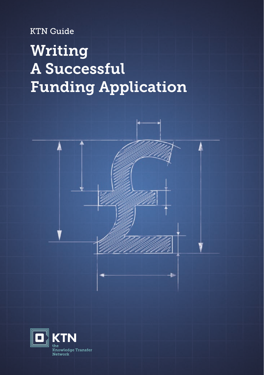**KTN Guide** 

# Writing A Successful **Funding Application**



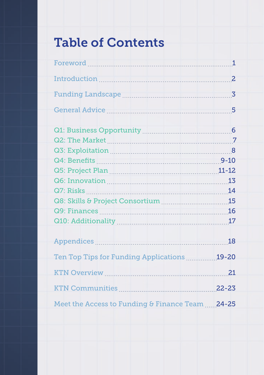# Table of Contents

| Ten Top Tips for Funding Applications [19-20]    |  |
|--------------------------------------------------|--|
| KTN Overview 21                                  |  |
|                                                  |  |
| Meet the Access to Funding & Finance Team  24-25 |  |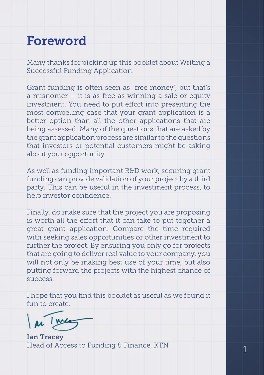### <span id="page-2-0"></span>Foreword

Many thanks for picking up this booklet about Writing a Successful Funding Application.

Grant funding is often seen as "free money", but that's a misnomer – it is as free as winning a sale or equity investment. You need to put effort into presenting the most compelling case that your grant application is a better option than all the other applications that are being assessed. Many of the questions that are asked by the grant application process are similar to the questions that investors or potential customers might be asking about your opportunity.

As well as funding important R&D work, securing grant funding can provide validation of your project by a third party. This can be useful in the investment process, to help investor confidence.

Finally, do make sure that the project you are proposing is worth all the effort that it can take to put together a great grant application. Compare the time required with seeking sales opportunities or other investment to further the project. By ensuring you only go for projects that are going to deliver real value to your company, you will not only be making best use of your time, but also putting forward the projects with the highest chance of success.

I hope that you find this booklet as useful as we found it fun to create

Ian Tracey Head of Access to Funding & Finance, KTN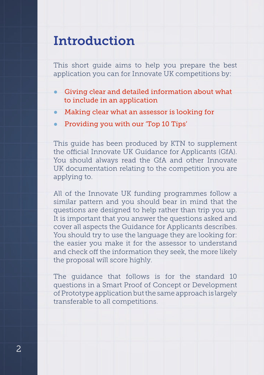### <span id="page-3-0"></span>Introduction

This short guide aims to help you prepare the best application you can for Innovate UK competitions by:

- Giving clear and detailed information about what to include in an application
- Making clear what an assessor is looking for
- Providing you with our 'Top 10 Tips'

This guide has been produced by KTN to supplement the official Innovate UK Guidance for Applicants (GfA). You should always read the GfA and other Innovate UK documentation relating to the competition you are applying to.

All of the Innovate UK funding programmes follow a similar pattern and you should bear in mind that the questions are designed to help rather than trip you up. It is important that you answer the questions asked and cover all aspects the Guidance for Applicants describes. You should try to use the language they are looking for: the easier you make it for the assessor to understand and check off the information they seek, the more likely the proposal will score highly.

The guidance that follows is for the standard 10 questions in a Smart Proof of Concept or Development of Prototype application but the same approach is largely transferable to all competitions.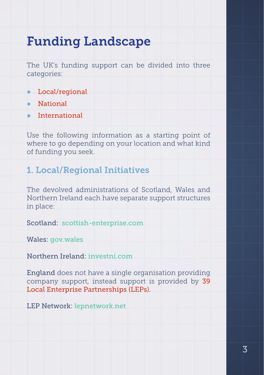### <span id="page-4-0"></span>Funding Landscape

The UK's funding support can be divided into three categories:

- Local/regional
- **National**
- **International**

Use the following information as a starting point of where to go depending on your location and what kind of funding you seek.

#### 1. Local/Regional Initiatives

The devolved administrations of Scotland, Wales and Northern Ireland each have separate support structures in place:

Scotland: scottish-enterprise.com

Wales: gov.wales

Northern Ireland: investni.com

England does not have a single organisation providing company support, instead support is provided by 39 Local Enterprise Partnerships (LEPs).

LEP Network: lepnetwork.net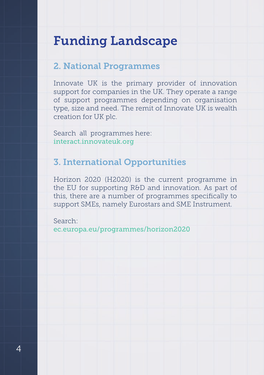### <span id="page-5-0"></span>Funding Landscape

#### 2. National Programmes

Innovate UK is the primary provider of innovation support for companies in the UK. They operate a range of support programmes depending on organisation type, size and need. The remit of Innovate UK is wealth creation for UK plc.

Search all programmes here: interact.innovateuk.org

#### 3. International Opportunities

Horizon 2020 (H2020) is the current programme in the EU for supporting R&D and innovation. As part of this, there are a number of programmes specifically to support SMEs, namely Eurostars and SME Instrument.

Search:

ec.europa.eu/programmes/horizon2020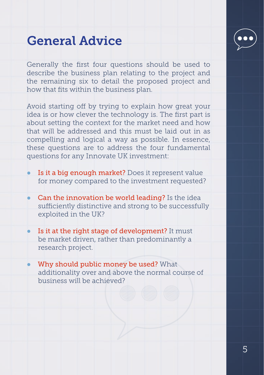

### <span id="page-6-0"></span>General Advice

Generally the first four questions should be used to describe the business plan relating to the project and the remaining six to detail the proposed project and how that fits within the business plan.

Avoid starting off by trying to explain how great your idea is or how clever the technology is. The first part is about setting the context for the market need and how that will be addressed and this must be laid out in as compelling and logical a way as possible. In essence, these questions are to address the four fundamental questions for any Innovate UK investment:

- Is it a big enough market? Does it represent value for money compared to the investment requested?
- **Can the innovation be world leading?** Is the idea sufficiently distinctive and strong to be successfully exploited in the UK?
- Is it at the right stage of development? It must be market driven, rather than predominantly a research project.
- Why should public money be used? What additionality over and above the normal course of business will be achieved?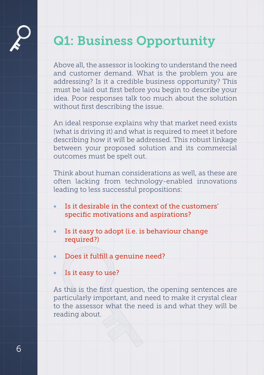## <span id="page-7-0"></span>Q1: Business Opportunity

Above all, the assessor is looking to understand the need and customer demand. What is the problem you are addressing? Is it a credible business opportunity? This must be laid out first before you begin to describe your idea. Poor responses talk too much about the solution without first describing the issue.

An ideal response explains why that market need exists (what is driving it) and what is required to meet it before describing how it will be addressed. This robust linkage between your proposed solution and its commercial outcomes must be spelt out.

Think about human considerations as well, as these are often lacking from technology-enabled innovations leading to less successful propositions:

- Is it desirable in the context of the customers' specific motivations and aspirations?
- Is it easy to adopt (i.e. is behaviour change required?)
- Does it fulfill a genuine need?
- Is it easy to use?

As this is the first question, the opening sentences are particularly important, and need to make it crystal clear to the assessor what the need is and what they will be reading about.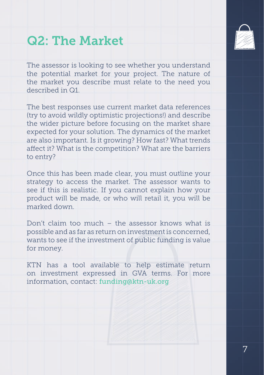### <span id="page-8-0"></span>Q2: The Market

The assessor is looking to see whether you understand the potential market for your project. The nature of the market you describe must relate to the need you described in Q1.

The best responses use current market data references (try to avoid wildly optimistic projections!) and describe the wider picture before focusing on the market share expected for your solution. The dynamics of the market are also important. Is it growing? How fast? What trends affect it? What is the competition? What are the barriers to entry?

Once this has been made clear, you must outline your strategy to access the market. The assessor wants to see if this is realistic. If you cannot explain how your product will be made, or who will retail it, you will be marked down.

Don't claim too much – the assessor knows what is possible and as far as return on investment is concerned, wants to see if the investment of public funding is value for money.

KTN has a tool available to help estimate return on investment expressed in GVA terms. For more information, contact: funding@ktn-uk.org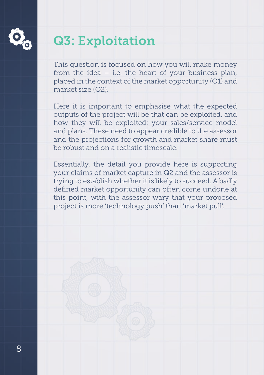<span id="page-9-0"></span>

## Q3: Exploitation

This question is focused on how you will make money from the idea – i.e. the heart of your business plan, placed in the context of the market opportunity (Q1) and market size (Q2).

Here it is important to emphasise what the expected outputs of the project will be that can be exploited, and how they will be exploited: your sales/service model and plans. These need to appear credible to the assessor and the projections for growth and market share must be robust and on a realistic timescale.

Essentially, the detail you provide here is supporting your claims of market capture in Q2 and the assessor is trying to establish whether it is likely to succeed. A badly defined market opportunity can often come undone at this point, with the assessor wary that your proposed project is more 'technology push' than 'market pull'.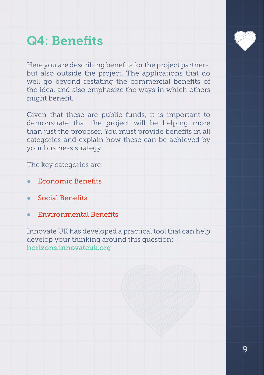### <span id="page-10-0"></span>Q4: Benefits

Here you are describing benefits for the project partners, but also outside the project. The applications that do well go beyond restating the commercial benefits of the idea, and also emphasize the ways in which others might benefit.

Given that these are public funds, it is important to demonstrate that the project will be helping more than just the proposer. You must provide benefits in all categories and explain how these can be achieved by your business strategy.

The key categories are:

- **Economic Benefits**
- **Social Benefits**
- Environmental Benefits

Innovate UK has developed a practical tool that can help develop your thinking around this question: horizons.innovateuk.org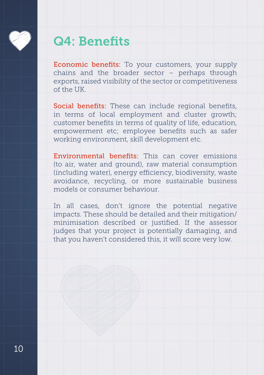### Q4: Benefits

Economic benefits: To your customers, your supply chains and the broader sector – perhaps through exports, raised visibility of the sector or competitiveness of the UK.

Social benefits: These can include regional benefits, in terms of local employment and cluster growth; customer benefits in terms of quality of life, education, empowerment etc; employee benefits such as safer working environment, skill development etc.

Environmental benefits: This can cover emissions (to air, water and ground), raw material consumption (including water), energy efficiency, biodiversity, waste avoidance, recycling, or more sustainable business models or consumer behaviour.

In all cases, don't ignore the potential negative impacts. These should be detailed and their mitigation/ minimisation described or justified. If the assessor judges that your project is potentially damaging, and that you haven't considered this, it will score very low.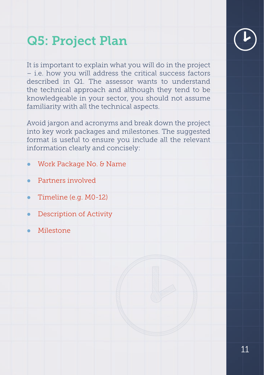# <span id="page-12-0"></span>Q5: Project Plan

It is important to explain what you will do in the project – i.e. how you will address the critical success factors described in Q1. The assessor wants to understand the technical approach and although they tend to be knowledgeable in your sector, you should not assume familiarity with all the technical aspects.

Avoid jargon and acronyms and break down the project into key work packages and milestones. The suggested format is useful to ensure you include all the relevant information clearly and concisely:

- Work Package No. & Name
- Partners involved
- Timeline (e.g. M0-12)
- **Description of Activity**
- Milestone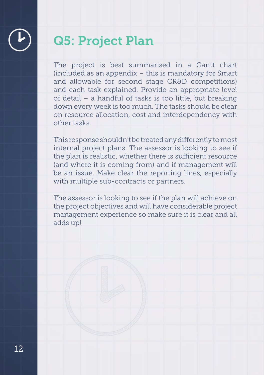

### Q5: Project Plan

The project is best summarised in a Gantt chart (included as an appendix – this is mandatory for Smart and allowable for second stage CR&D competitions) and each task explained. Provide an appropriate level of detail – a handful of tasks is too little, but breaking down every week is too much. The tasks should be clear on resource allocation, cost and interdependency with other tasks.

This response shouldn't be treated any differently to most internal project plans. The assessor is looking to see if the plan is realistic, whether there is sufficient resource (and where it is coming from) and if management will be an issue. Make clear the reporting lines, especially with multiple sub-contracts or partners.

The assessor is looking to see if the plan will achieve on the project objectives and will have considerable project management experience so make sure it is clear and all adds up!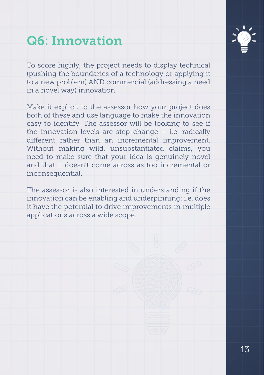## <span id="page-14-0"></span>Q6: Innovation

To score highly, the project needs to display technical (pushing the boundaries of a technology or applying it to a new problem) AND commercial (addressing a need in a novel way) innovation.

Make it explicit to the assessor how your project does both of these and use language to make the innovation easy to identify. The assessor will be looking to see if the innovation levels are step-change – i.e. radically different rather than an incremental improvement. Without making wild, unsubstantiated claims, you need to make sure that your idea is genuinely novel and that it doesn't come across as too incremental or inconsequential.

The assessor is also interested in understanding if the innovation can be enabling and underpinning: i.e. does it have the potential to drive improvements in multiple applications across a wide scope.

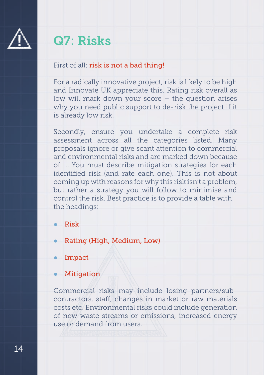<span id="page-15-0"></span>

### Q7: Risks

#### First of all: risk is not a bad thing!

For a radically innovative project, risk is likely to be high and Innovate UK appreciate this. Rating risk overall as low will mark down your score – the question arises why you need public support to de-risk the project if it is already low risk.

Secondly, ensure you undertake a complete risk assessment across all the categories listed. Many proposals ignore or give scant attention to commercial and environmental risks and are marked down because of it. You must describe mitigation strategies for each identified risk (and rate each one). This is not about coming up with reasons for why this risk isn't a problem, but rather a strategy you will follow to minimise and control the risk. Best practice is to provide a table with the headings:

- Risk
- Rating (High, Medium, Low)
- Impact
- Mitigation

Commercial risks may include losing partners/subcontractors, staff, changes in market or raw materials costs etc. Environmental risks could include generation of new waste streams or emissions, increased energy use or demand from users.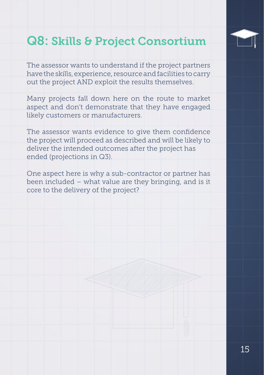# <span id="page-16-0"></span>Q8: Skills & Project Consortium

The assessor wants to understand if the project partners have the skills, experience, resource and facilities to carry out the project AND exploit the results themselves.

Many projects fall down here on the route to market aspect and don't demonstrate that they have engaged likely customers or manufacturers.

The assessor wants evidence to give them confidence the project will proceed as described and will be likely to deliver the intended outcomes after the project has ended (projections in Q3).

One aspect here is why a sub-contractor or partner has been included – what value are they bringing, and is it core to the delivery of the project?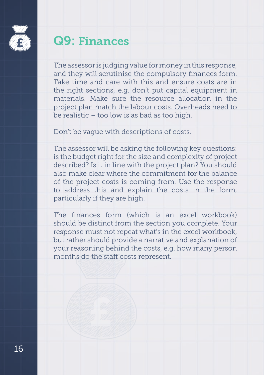<span id="page-17-0"></span>

### Q9: Finances

The assessor is judging value for money in this response, and they will scrutinise the compulsory finances form. Take time and care with this and ensure costs are in the right sections, e.g. don't put capital equipment in materials. Make sure the resource allocation in the project plan match the labour costs. Overheads need to be realistic – too low is as bad as too high.

Don't be vague with descriptions of costs.

The assessor will be asking the following key questions: is the budget right for the size and complexity of project described? Is it in line with the project plan? You should also make clear where the commitment for the balance of the project costs is coming from. Use the response to address this and explain the costs in the form, particularly if they are high.

The finances form (which is an excel workbook) should be distinct from the section you complete. Your response must not repeat what's in the excel workbook, but rather should provide a narrative and explanation of your reasoning behind the costs, e.g. how many person months do the staff costs represent.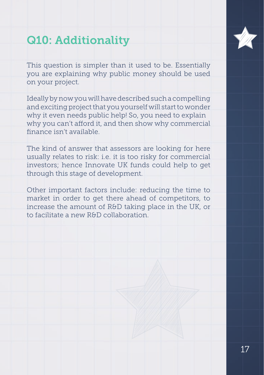### <span id="page-18-0"></span>Q10: Additionality

This question is simpler than it used to be. Essentially you are explaining why public money should be used on your project.

Ideally by now you will have described such a compelling and exciting project that you yourself will start to wonder why it even needs public help! So, you need to explain why you can't afford it, and then show why commercial finance isn't available.

The kind of answer that assessors are looking for here usually relates to risk: i.e. it is too risky for commercial investors; hence Innovate UK funds could help to get through this stage of development.

Other important factors include: reducing the time to market in order to get there ahead of competitors, to increase the amount of R&D taking place in the UK, or to facilitate a new R&D collaboration.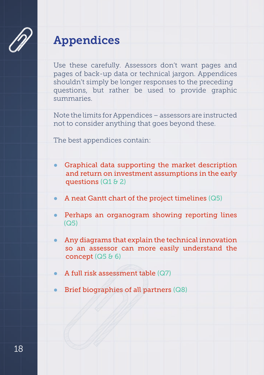<span id="page-19-0"></span>

### Appendices

Use these carefully. Assessors don't want pages and pages of back-up data or technical jargon. Appendices shouldn't simply be longer responses to the preceding questions, but rather be used to provide graphic summaries.

Note the limits for Appendices – assessors are instructed not to consider anything that goes beyond these.

The best appendices contain:

- Graphical data supporting the market description and return on investment assumptions in the early questions (Q1 & 2)
- A neat Gantt chart of the project timelines (Q5)
- Perhaps an organogram showing reporting lines  $(Q5)$
- Any diagrams that explain the technical innovation so an assessor can more easily understand the concept  $(Q5 66)$
- A full risk assessment table  $(Q7)$
- Brief biographies of all partners  $(Q8)$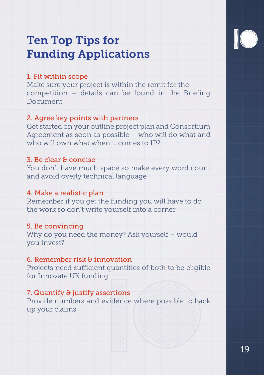

### <span id="page-20-0"></span>Ten Top Tips for Funding Applications

#### 1. Fit within scope

Make sure your project is within the remit for the competition – details can be found in the Briefing Document

#### 2. Agree key points with partners

Get started on your outline project plan and Consortium Agreement as soon as possible – who will do what and who will own what when it comes to IP?

#### 3. Be clear & concise

You don't have much space so make every word count and avoid overly technical language

#### 4. Make a realistic plan

Remember if you get the funding you will have to do the work so don't write yourself into a corner

#### 5. Be convincing

Why do you need the money? Ask yourself – would you invest?

#### 6. Remember risk & innovation

Projects need sufficient quantities of both to be eligible for Innovate UK funding

#### 7. Quantify & justify assertions

Provide numbers and evidence where possible to back up your claims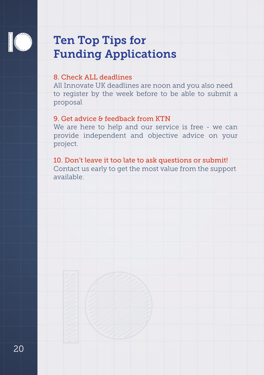

### Ten Top Tips for Funding Applications

#### 8. Check ALL deadlines

All Innovate UK deadlines are noon and you also need to register by the week before to be able to submit a proposal

#### 9. Get advice & feedback from KTN

We are here to help and our service is free - we can provide independent and objective advice on your project.

10. Don't leave it too late to ask questions or submit! Contact us early to get the most value from the support available.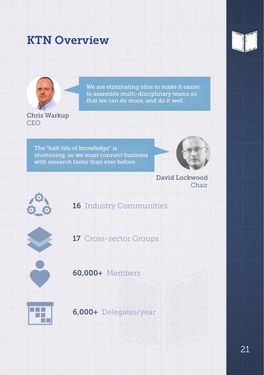#### <span id="page-22-0"></span>KTN Overview





We are eliminating silos to make it easier to assemble multi-disciplinary teams so that we can do more, and do it well.

Chris Warkup CEO

The "half-life of knowledge" is shortening, so we must connect business with research faster than ever before.



David Lockwood Chair



#### 16 Industry Communities



17 Cross-sector Groups



60,000+ Members



6,000+ Delegates/year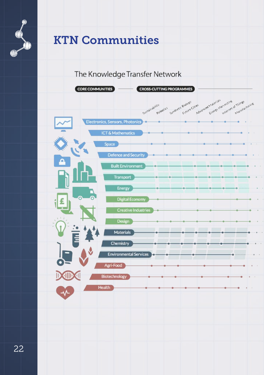

### KTN Communities

The Knowledge Transfer Network

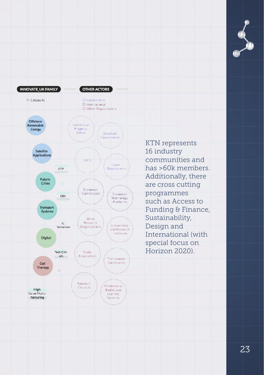

KTN represents 16 industry communities and has >60k members. Additionally, there are cross cutting programmes such as Access to Funding & Finance, Sustainability, Design and International (with special focus on Horizon 2020).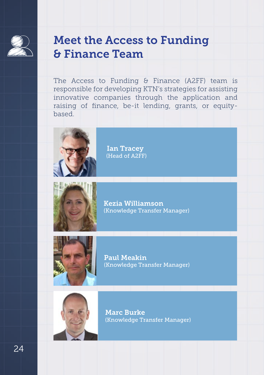<span id="page-25-0"></span>

#### Meet the Access to Funding & Finance Team

The Access to Funding & Finance (A2FF) team is responsible for developing KTN's strategies for assisting innovative companies through the application and raising of finance, be-it lending, grants, or equitybased.



 Ian Tracey (Head of A2FF)



Kezia Williamson (Knowledge Transfer Manager)



Paul Meakin (Knowledge Transfer Manager)



Marc Burke (Knowledge Transfer Manager)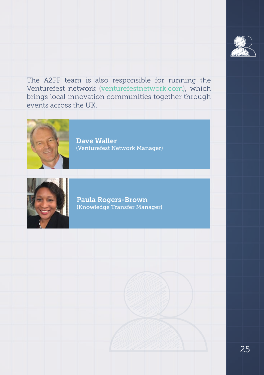

The A2FF team is also responsible for running the Venturefest network (venturefestnetwork.com), which brings local innovation communities together through events across the UK.



Dave Waller (Venturefest Network Manager)



Paula Rogers-Brown (Knowledge Transfer Manager)